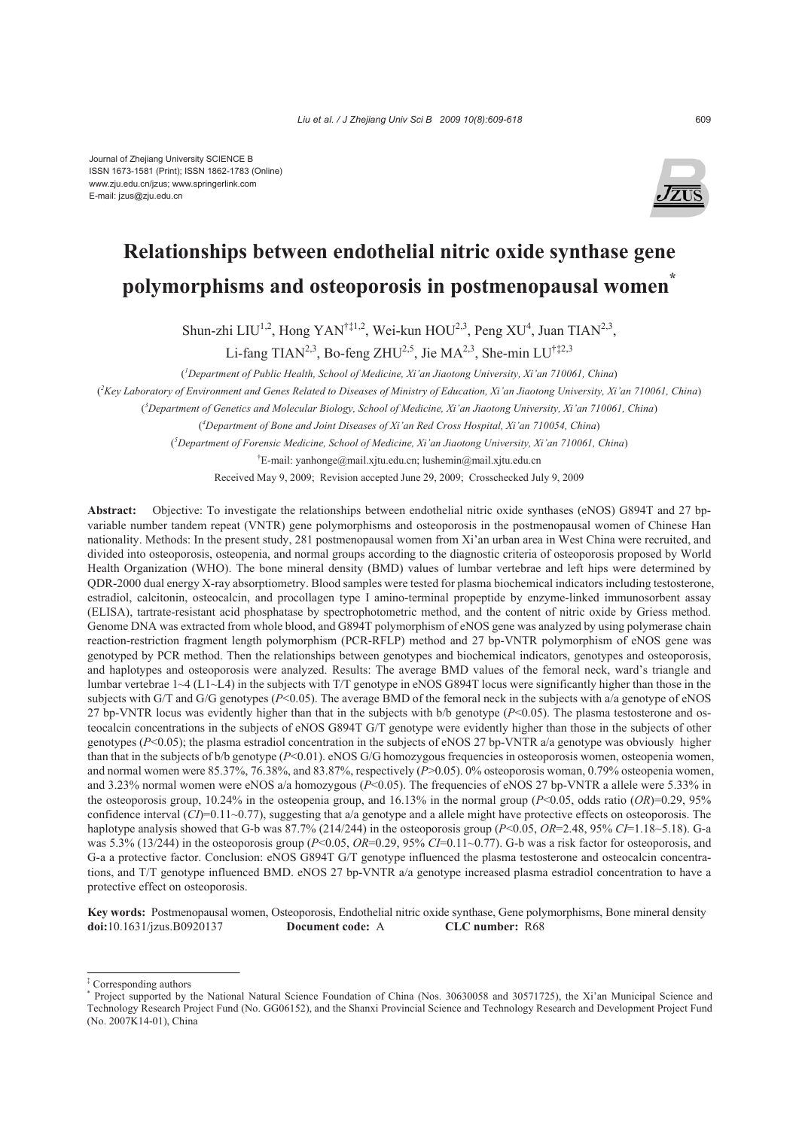

# **Relationships between endothelial nitric oxide synthase gene polymorphisms and osteoporosis in postmenopausal women\***

Shun-zhi LIU<sup>1,2</sup>, Hong YAN<sup>†‡1,2</sup>, Wei-kun HOU<sup>2,3</sup>, Peng XU<sup>4</sup>, Juan TIAN<sup>2,3</sup>,

Li-fang TIAN<sup>2,3</sup>, Bo-feng ZHU<sup>2,5</sup>, Jie MA<sup>2,3</sup>, She-min LU<sup>†‡2,3</sup>

( *1 Department of Public Health, School of Medicine, Xi'an Jiaotong University, Xi'an 710061, China*)

( *2 Key Laboratory of Environment and Genes Related to Diseases of Ministry of Education, Xi'an Jiaotong University, Xi'an 710061, China*)

( *3 Department of Genetics and Molecular Biology, School of Medicine, Xi'an Jiaotong University, Xi'an 710061, China*)

( *4 Department of Bone and Joint Diseases of Xi'an Red Cross Hospital, Xi'an 710054, China*)

( *5 Department of Forensic Medicine, School of Medicine, Xi'an Jiaotong University, Xi'an 710061, China*)

† E-mail: yanhonge@mail.xjtu.edu.cn; lushemin@mail.xjtu.edu.cn

Received May 9, 2009; Revision accepted June 29, 2009; Crosschecked July 9, 2009

**Abstract:** Objective: To investigate the relationships between endothelial nitric oxide synthases (eNOS) G894T and 27 bpvariable number tandem repeat (VNTR) gene polymorphisms and osteoporosis in the postmenopausal women of Chinese Han nationality. Methods: In the present study, 281 postmenopausal women from Xi'an urban area in West China were recruited, and divided into osteoporosis, osteopenia, and normal groups according to the diagnostic criteria of osteoporosis proposed by World Health Organization (WHO). The bone mineral density (BMD) values of lumbar vertebrae and left hips were determined by QDR-2000 dual energy X-ray absorptiometry. Blood samples were tested for plasma biochemical indicators including testosterone, estradiol, calcitonin, osteocalcin, and procollagen type I amino-terminal propeptide by enzyme-linked immunosorbent assay (ELISA), tartrate-resistant acid phosphatase by spectrophotometric method, and the content of nitric oxide by Griess method. Genome DNA was extracted from whole blood, and G894T polymorphism of eNOS gene was analyzed by using polymerase chain reaction-restriction fragment length polymorphism (PCR-RFLP) method and 27 bp-VNTR polymorphism of eNOS gene was genotyped by PCR method. Then the relationships between genotypes and biochemical indicators, genotypes and osteoporosis, and haplotypes and osteoporosis were analyzed. Results: The average BMD values of the femoral neck, ward's triangle and lumbar vertebrae  $1 \sim 4$  (L1 $\sim$ L4) in the subjects with T/T genotype in eNOS G894T locus were significantly higher than those in the subjects with G/T and G/G genotypes  $(P<0.05)$ . The average BMD of the femoral neck in the subjects with a/a genotype of eNOS 27 bp-VNTR locus was evidently higher than that in the subjects with  $b/b$  genotype ( $P<0.05$ ). The plasma testosterone and osteocalcin concentrations in the subjects of eNOS G894T G/T genotype were evidently higher than those in the subjects of other genotypes  $(P<0.05)$ ; the plasma estradiol concentration in the subjects of eNOS 27 bp-VNTR a/a genotype was obviously higher than that in the subjects of b/b genotype (*P*<0.01). eNOS G/G homozygous frequencies in osteoporosis women, osteopenia women, and normal women were 85.37%, 76.38%, and 83.87%, respectively (*P*>0.05). 0% osteoporosis woman, 0.79% osteopenia women, and 3.23% normal women were eNOS a/a homozygous ( $P<0.05$ ). The frequencies of eNOS 27 bp-VNTR a allele were 5.33% in the osteoporosis group, 10.24% in the osteopenia group, and 16.13% in the normal group ( $P<0.05$ , odds ratio ( $OR$ )=0.29, 95% confidence interval (*CI*)=0.11~0.77), suggesting that a/a genotype and a allele might have protective effects on osteoporosis. The haplotype analysis showed that G-b was 87.7% (214/244) in the osteoporosis group (*P*<0.05, *OR*=2.48, 95% *CI*=1.18~5.18). G-a was 5.3% (13/244) in the osteoporosis group (*P*<0.05, *OR*=0.29, 95% *CI*=0.11~0.77). G-b was a risk factor for osteoporosis, and G-a a protective factor. Conclusion: eNOS G894T G/T genotype influenced the plasma testosterone and osteocalcin concentrations, and T/T genotype influenced BMD. eNOS 27 bp-VNTR a/a genotype increased plasma estradiol concentration to have a protective effect on osteoporosis.

**Key words:** Postmenopausal women, Osteoporosis, Endothelial nitric oxide synthase, Gene polymorphisms, Bone mineral density **doi:**10.1631/jzus.B0920137 **Document code:** A **CLC number:** R68

<sup>‡</sup> Corresponding authors

<sup>\*</sup> Project supported by the National Natural Science Foundation of China (Nos. 30630058 and 30571725), the Xi'an Municipal Science and Technology Research Project Fund (No. GG06152), and the Shanxi Provincial Science and Technology Research and Development Project Fund (No. 2007K14-01), China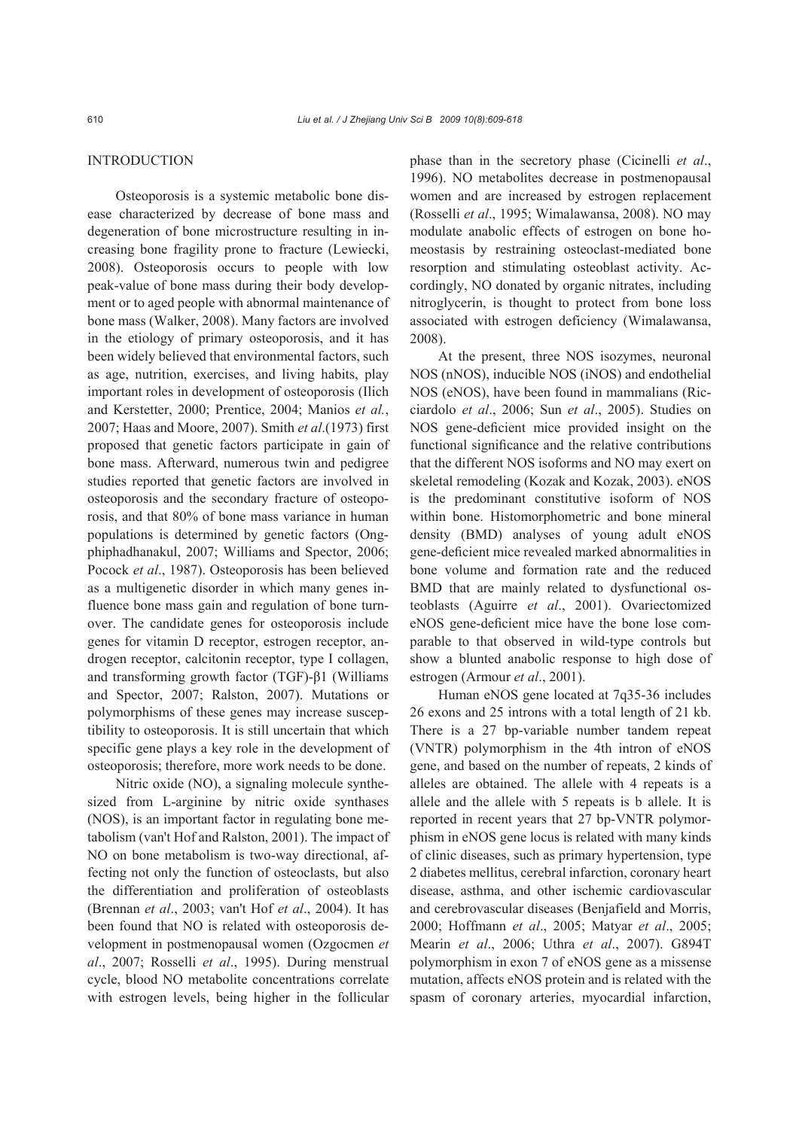## **INTRODUCTION**

Osteoporosis is a systemic metabolic bone disease characterized by decrease of bone mass and degeneration of bone microstructure resulting in increasing bone fragility prone to fracture (Lewiecki, 2008). Osteoporosis occurs to people with low peak-value of bone mass during their body development or to aged people with abnormal maintenance of bone mass (Walker, 2008). Many factors are involved in the etiology of primary osteoporosis, and it has been widely believed that environmental factors, such as age, nutrition, exercises, and living habits, play important roles in development of osteoporosis (Ilich and Kerstetter, 2000; Prentice, 2004; Manios *et al.*, 2007; Haas and Moore, 2007). Smith *et al*.(1973) first proposed that genetic factors participate in gain of bone mass. Afterward, numerous twin and pedigree studies reported that genetic factors are involved in osteoporosis and the secondary fracture of osteoporosis, and that 80% of bone mass variance in human populations is determined by genetic factors (Ongphiphadhanakul, 2007; Williams and Spector, 2006; Pocock *et al*., 1987). Osteoporosis has been believed as a multigenetic disorder in which many genes influence bone mass gain and regulation of bone turnover. The candidate genes for osteoporosis include genes for vitamin D receptor, estrogen receptor, androgen receptor, calcitonin receptor, type I collagen, and transforming growth factor (TGF)-β1 (Williams and Spector, 2007; Ralston, 2007). Mutations or polymorphisms of these genes may increase susceptibility to osteoporosis. It is still uncertain that which specific gene plays a key role in the development of osteoporosis; therefore, more work needs to be done.

Nitric oxide (NO), a signaling molecule synthesized from L-arginine by nitric oxide synthases (NOS), is an important factor in regulating bone metabolism (van't Hof and Ralston, 2001). The impact of NO on bone metabolism is two-way directional, affecting not only the function of osteoclasts, but also the differentiation and proliferation of osteoblasts (Brennan *et al*., 2003; van't Hof *et al*., 2004). It has been found that NO is related with osteoporosis development in postmenopausal women (Ozgocmen *et al*., 2007; Rosselli *et al*., 1995). During menstrual cycle, blood NO metabolite concentrations correlate with estrogen levels, being higher in the follicular phase than in the secretory phase (Cicinelli *et al*., 1996). NO metabolites decrease in postmenopausal women and are increased by estrogen replacement (Rosselli *et al*., 1995; Wimalawansa, 2008). NO may modulate anabolic effects of estrogen on bone homeostasis by restraining osteoclast-mediated bone resorption and stimulating osteoblast activity. Accordingly, NO donated by organic nitrates, including nitroglycerin, is thought to protect from bone loss associated with estrogen deficiency (Wimalawansa, 2008).

At the present, three NOS isozymes, neuronal NOS (nNOS), inducible NOS (iNOS) and endothelial NOS (eNOS), have been found in mammalians (Ricciardolo *et al*., 2006; Sun *et al*., 2005). Studies on NOS gene-deficient mice provided insight on the functional significance and the relative contributions that the different NOS isoforms and NO may exert on skeletal remodeling (Kozak and Kozak, 2003). eNOS is the predominant constitutive isoform of NOS within bone. Histomorphometric and bone mineral density (BMD) analyses of young adult eNOS gene-deficient mice revealed marked abnormalities in bone volume and formation rate and the reduced BMD that are mainly related to dysfunctional osteoblasts (Aguirre *et al*., 2001). Ovariectomized eNOS gene-deficient mice have the bone lose comparable to that observed in wild-type controls but show a blunted anabolic response to high dose of estrogen (Armour *et al*., 2001).

Human eNOS gene located at 7q35-36 includes 26 exons and 25 introns with a total length of 21 kb. There is a 27 bp-variable number tandem repeat (VNTR) polymorphism in the 4th intron of eNOS gene, and based on the number of repeats, 2 kinds of alleles are obtained. The allele with 4 repeats is a allele and the allele with 5 repeats is b allele. It is reported in recent years that 27 bp-VNTR polymorphism in eNOS gene locus is related with many kinds of clinic diseases, such as primary hypertension, type 2 diabetes mellitus, cerebral infarction, coronary heart disease, asthma, and other ischemic cardiovascular and cerebrovascular diseases (Benjafield and Morris, 2000; Hoffmann *et al*., 2005; Matyar *et al*., 2005; Mearin *et al*., 2006; Uthra *et al*., 2007). G894T polymorphism in exon 7 of eNOS gene as a missense mutation, affects eNOS protein and is related with the spasm of coronary arteries, myocardial infarction,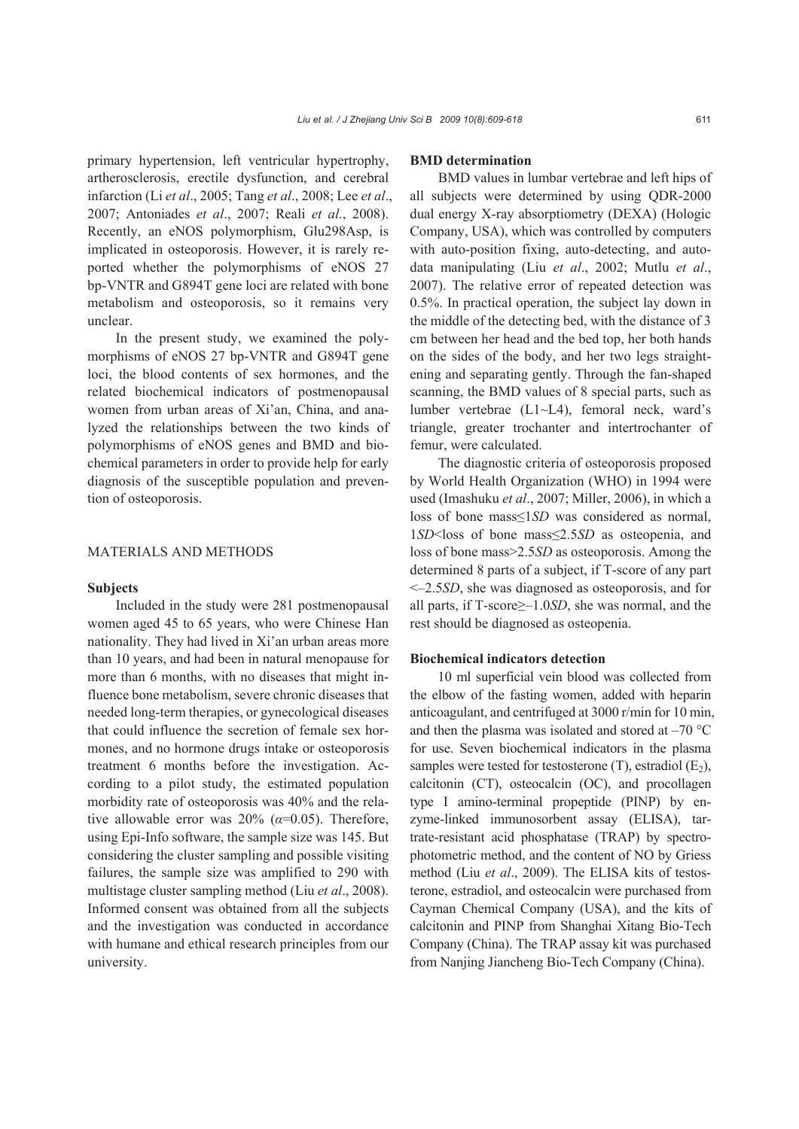primary hypertension, left ventricular hypertrophy, artherosclerosis, erectile dysfunction, and cerebral infarction (Li *et al*., 2005; Tang *et al*., 2008; Lee *et al*., 2007; Antoniades *et al*., 2007; Reali *et al*., 2008). Recently, an eNOS polymorphism, Glu298Asp, is implicated in osteoporosis. However, it is rarely reported whether the polymorphisms of eNOS 27 bp-VNTR and G894T gene loci are related with bone metabolism and osteoporosis, so it remains very unclear.

In the present study, we examined the polymorphisms of eNOS 27 bp-VNTR and G894T gene loci, the blood contents of sex hormones, and the related biochemical indicators of postmenopausal women from urban areas of Xi'an, China, and analyzed the relationships between the two kinds of polymorphisms of eNOS genes and BMD and biochemical parameters in order to provide help for early diagnosis of the susceptible population and prevention of osteoporosis.

## MATERIALS AND METHODS

#### **Subjects**

Included in the study were 281 postmenopausal women aged 45 to 65 years, who were Chinese Han nationality. They had lived in Xi'an urban areas more than 10 years, and had been in natural menopause for more than 6 months, with no diseases that might influence bone metabolism, severe chronic diseases that needed long-term therapies, or gynecological diseases that could influence the secretion of female sex hormones, and no hormone drugs intake or osteoporosis treatment 6 months before the investigation. According to a pilot study, the estimated population morbidity rate of osteoporosis was 40% and the relative allowable error was 20% (*α*=0.05). Therefore, using Epi-Info software, the sample size was 145. But considering the cluster sampling and possible visiting failures, the sample size was amplified to 290 with multistage cluster sampling method (Liu *et al*., 2008). Informed consent was obtained from all the subjects and the investigation was conducted in accordance with humane and ethical research principles from our university.

#### **BMD determination**

BMD values in lumbar vertebrae and left hips of all subjects were determined by using QDR-2000 dual energy X-ray absorptiometry (DEXA) (Hologic Company, USA), which was controlled by computers with auto-position fixing, auto-detecting, and autodata manipulating (Liu *et al*., 2002; Mutlu *et al*., 2007). The relative error of repeated detection was 0.5%. In practical operation, the subject lay down in the middle of the detecting bed, with the distance of 3 cm between her head and the bed top, her both hands on the sides of the body, and her two legs straightening and separating gently. Through the fan-shaped scanning, the BMD values of 8 special parts, such as lumber vertebrae (L1~L4), femoral neck, ward's triangle, greater trochanter and intertrochanter of femur, were calculated.

The diagnostic criteria of osteoporosis proposed by World Health Organization (WHO) in 1994 were used (Imashuku *et al*., 2007; Miller, 2006), in which a loss of bone mass≤1*SD* was considered as normal, 1*SD*<loss of bone mass≤2.5*SD* as osteopenia, and loss of bone mass>2.5*SD* as osteoporosis. Among the determined 8 parts of a subject, if T-score of any part <–2.5*SD*, she was diagnosed as osteoporosis, and for all parts, if T-score≥–1.0*SD*, she was normal, and the rest should be diagnosed as osteopenia.

## **Biochemical indicators detection**

10 ml superficial vein blood was collected from the elbow of the fasting women, added with heparin anticoagulant, and centrifuged at 3000 r/min for 10 min, and then the plasma was isolated and stored at  $-70$  °C for use. Seven biochemical indicators in the plasma samples were tested for testosterone  $(T)$ , estradiol  $(E_2)$ , calcitonin (CT), osteocalcin (OC), and procollagen type I amino-terminal propeptide (PINP) by enzyme-linked immunosorbent assay (ELISA), tartrate-resistant acid phosphatase (TRAP) by spectrophotometric method, and the content of NO by Griess method (Liu *et al*., 2009). The ELISA kits of testosterone, estradiol, and osteocalcin were purchased from Cayman Chemical Company (USA), and the kits of calcitonin and PINP from Shanghai Xitang Bio-Tech Company (China). The TRAP assay kit was purchased from Nanjing Jiancheng Bio-Tech Company (China).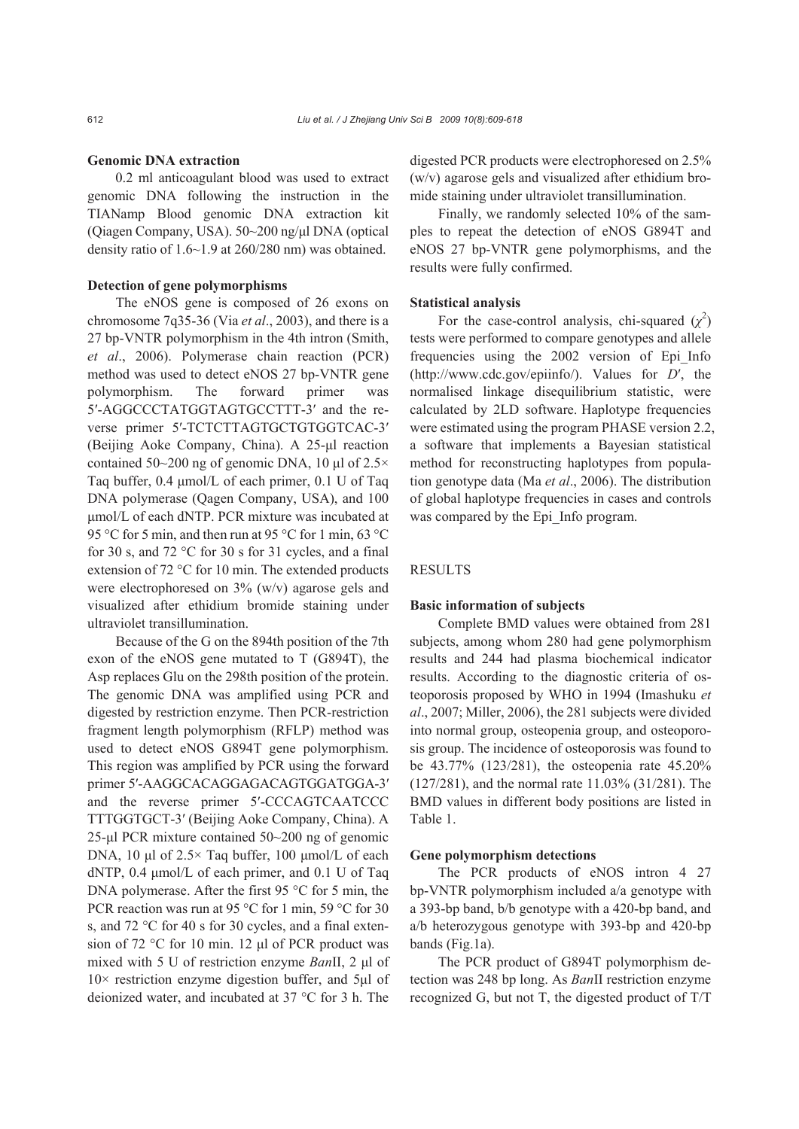## **Genomic DNA extraction**

0.2 ml anticoagulant blood was used to extract genomic DNA following the instruction in the TIANamp Blood genomic DNA extraction kit (Qiagen Company, USA). 50~200 ng/μl DNA (optical density ratio of 1.6~1.9 at 260/280 nm) was obtained.

#### **Detection of gene polymorphisms**

The eNOS gene is composed of 26 exons on chromosome 7q35-36 (Via *et al*., 2003), and there is a 27 bp-VNTR polymorphism in the 4th intron (Smith, *et al*., 2006). Polymerase chain reaction (PCR) method was used to detect eNOS 27 bp-VNTR gene polymorphism. The forward primer was 5′-AGGCCCTATGGTAGTGCCTTT-3′ and the reverse primer 5′-TCTCTTAGTGCTGTGGTCAC-3′ (Beijing Aoke Company, China). A 25-μl reaction contained 50~200 ng of genomic DNA, 10 μl of  $2.5\times$ Taq buffer, 0.4 μmol/L of each primer, 0.1 U of Taq DNA polymerase (Qagen Company, USA), and 100 μmol/L of each dNTP. PCR mixture was incubated at 95 °C for 5 min, and then run at 95 °C for 1 min, 63 °C for 30 s, and 72 °C for 30 s for 31 cycles, and a final extension of 72 °C for 10 min. The extended products were electrophoresed on 3% (w/v) agarose gels and visualized after ethidium bromide staining under ultraviolet transillumination.

Because of the G on the 894th position of the 7th exon of the eNOS gene mutated to T (G894T), the Asp replaces Glu on the 298th position of the protein. The genomic DNA was amplified using PCR and digested by restriction enzyme. Then PCR-restriction fragment length polymorphism (RFLP) method was used to detect eNOS G894T gene polymorphism. This region was amplified by PCR using the forward primer 5′-AAGGCACAGGAGACAGTGGATGGA-3′ and the reverse primer 5′-CCCAGTCAATCCC TTTGGTGCT-3′ (Beijing Aoke Company, China). A 25-μl PCR mixture contained 50~200 ng of genomic DNA, 10 μl of 2.5× Taq buffer, 100 μmol/L of each dNTP, 0.4 μmol/L of each primer, and 0.1 U of Taq DNA polymerase. After the first 95 °C for 5 min, the PCR reaction was run at 95 °C for 1 min, 59 °C for 30 s, and 72 °C for 40 s for 30 cycles, and a final extension of 72 °C for 10 min. 12 μl of PCR product was mixed with 5 U of restriction enzyme *Ban*II, 2 μl of 10× restriction enzyme digestion buffer, and 5μl of deionized water, and incubated at 37 °C for 3 h. The digested PCR products were electrophoresed on 2.5% (w/v) agarose gels and visualized after ethidium bromide staining under ultraviolet transillumination.

Finally, we randomly selected 10% of the samples to repeat the detection of eNOS G894T and eNOS 27 bp-VNTR gene polymorphisms, and the results were fully confirmed.

#### **Statistical analysis**

For the case-control analysis, chi-squared  $(\chi^2)$ tests were performed to compare genotypes and allele frequencies using the 2002 version of Epi\_Info (http://www.cdc.gov/epiinfo/). Values for *D*′, the normalised linkage disequilibrium statistic, were calculated by 2LD software. Haplotype frequencies were estimated using the program PHASE version 2.2, a software that implements a Bayesian statistical method for reconstructing haplotypes from population genotype data (Ma *et al*., 2006). The distribution of global haplotype frequencies in cases and controls was compared by the Epi Info program.

## RESULTS

#### **Basic information of subjects**

Complete BMD values were obtained from 281 subjects, among whom 280 had gene polymorphism results and 244 had plasma biochemical indicator results. According to the diagnostic criteria of osteoporosis proposed by WHO in 1994 (Imashuku *et al*., 2007; Miller, 2006), the 281 subjects were divided into normal group, osteopenia group, and osteoporosis group. The incidence of osteoporosis was found to be 43.77% (123/281), the osteopenia rate 45.20% (127/281), and the normal rate 11.03% (31/281). The BMD values in different body positions are listed in Table 1.

#### **Gene polymorphism detections**

The PCR products of eNOS intron 4 27 bp-VNTR polymorphism included a/a genotype with a 393-bp band, b/b genotype with a 420-bp band, and a/b heterozygous genotype with 393-bp and 420-bp bands (Fig.1a).

The PCR product of G894T polymorphism detection was 248 bp long. As *Ban*II restriction enzyme recognized G, but not T, the digested product of T/T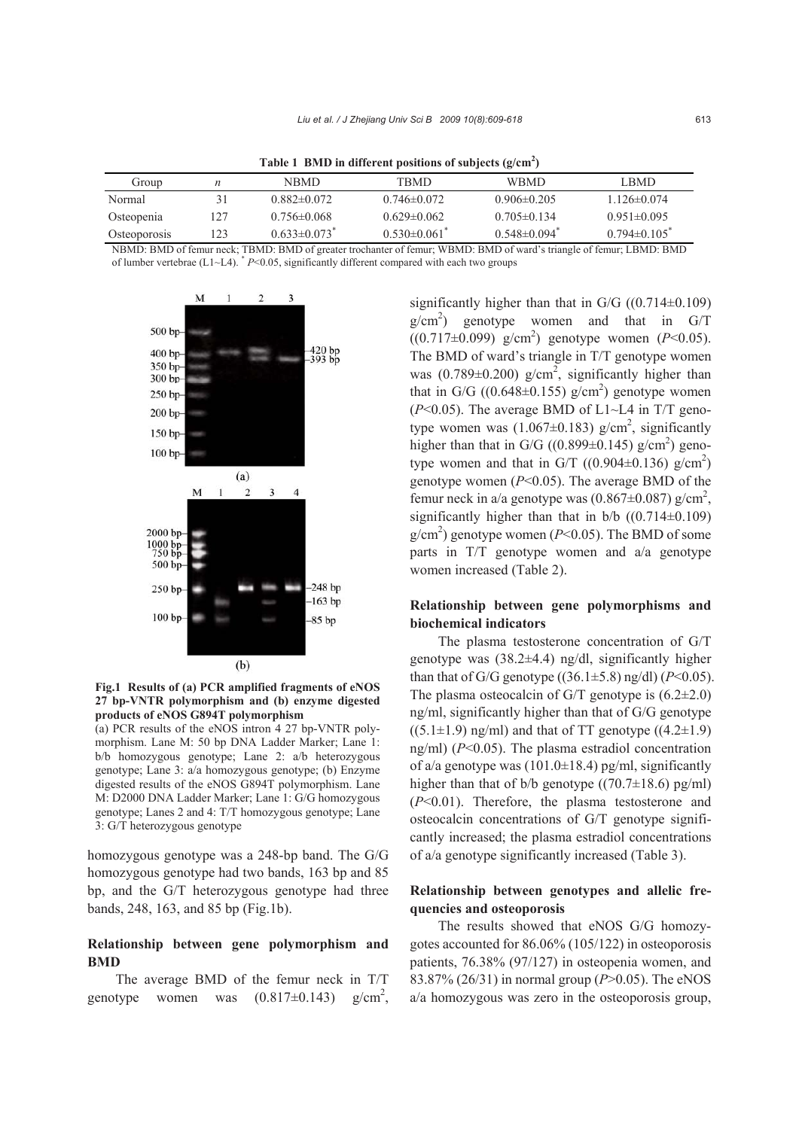**Table 1 BMD in different positions of subjects (g/cm2 )** 

| Group        | n   | NBMD.                          | TBMD                         | <b>WBMD</b>                    | LBMD.             |
|--------------|-----|--------------------------------|------------------------------|--------------------------------|-------------------|
| Normal       |     | $0.882\pm0.072$                | $0.746\pm 0.072$             | $0.906\pm0.205$                | $1126\pm0.074$    |
| Osteopenia   | 127 | $0.756 \pm 0.068$              | $0.629 \pm 0.062$            | $0.705 \pm 0.134$              | $0.951\pm0.095$   |
| Osteoporosis | 123 | $0.633 \pm 0.073$ <sup>*</sup> | $0.530\pm0.061$ <sup>*</sup> | $0.548 \pm 0.094$ <sup>*</sup> | $0.794 \pm 0.105$ |

NBMD: BMD of femur neck; TBMD: BMD of greater trochanter of femur; WBMD: BMD of ward's triangle of femur; LBMD: BMD of lumber vertebrae (L1~L4). \* *P*<0.05, significantly different compared with each two groups



**Fig.1 Results of (a) PCR amplified fragments of eNOS 27 bp-VNTR polymorphism and (b) enzyme digested products of eNOS G894T polymorphism**

(a) PCR results of the eNOS intron 4 27 bp-VNTR polymorphism. Lane M: 50 bp DNA Ladder Marker; Lane 1: b/b homozygous genotype; Lane 2: a/b heterozygous genotype; Lane 3: a/a homozygous genotype; (b) Enzyme digested results of the eNOS G894T polymorphism. Lane M: D2000 DNA Ladder Marker; Lane 1: G/G homozygous genotype; Lanes 2 and 4: T/T homozygous genotype; Lane 3: G/T heterozygous genotype

homozygous genotype was a 248-bp band. The G/G homozygous genotype had two bands, 163 bp and 85 bp, and the G/T heterozygous genotype had three bands, 248, 163, and 85 bp (Fig.1b).

## **Relationship between gene polymorphism and BMD**

The average BMD of the femur neck in T/T genotype women was  $(0.817\pm0.143)$  $g/cm^2$ ,

significantly higher than that in  $G/G$  ((0.714 $\pm$ 0.109)  $g/cm<sup>2</sup>$ ) genotype women and that in G/T ((0.717±0.099) g/cm2 ) genotype women (*P*<0.05). The BMD of ward's triangle in T/T genotype women was  $(0.789 \pm 0.200)$  g/cm<sup>2</sup>, significantly higher than that in G/G  $((0.648 \pm 0.155)$  g/cm<sup>2</sup>) genotype women  $(P<0.05)$ . The average BMD of L1 $\sim$ L4 in T/T genotype women was  $(1.067 \pm 0.183)$  g/cm<sup>2</sup>, significantly higher than that in G/G ((0.899 $\pm$ 0.145) g/cm<sup>2</sup>) genotype women and that in G/T ((0.904 $\pm$ 0.136) g/cm<sup>2</sup>) genotype women (*P*<0.05). The average BMD of the femur neck in a/a genotype was  $(0.867 \pm 0.087)$  g/cm<sup>2</sup>, significantly higher than that in  $b/b$  ((0.714 $\pm$ 0.109)  $g/cm<sup>2</sup>$ ) genotype women ( $P<0.05$ ). The BMD of some parts in T/T genotype women and a/a genotype women increased (Table 2).

## **Relationship between gene polymorphisms and biochemical indicators**

The plasma testosterone concentration of G/T genotype was (38.2±4.4) ng/dl, significantly higher than that of G/G genotype  $((36.1 \pm 5.8)$  ng/dl $)(P<0.05)$ . The plasma osteocalcin of G/T genotype is  $(6.2\pm2.0)$ ng/ml, significantly higher than that of G/G genotype  $((5.1\pm1.9)$  ng/ml) and that of TT genotype  $((4.2\pm1.9)$ ng/ml) (*P*<0.05). The plasma estradiol concentration of a/a genotype was  $(101.0\pm18.4)$  pg/ml, significantly higher than that of b/b genotype  $((70.7\pm18.6)$  pg/ml) (*P*<0.01). Therefore, the plasma testosterone and osteocalcin concentrations of G/T genotype significantly increased; the plasma estradiol concentrations of a/a genotype significantly increased (Table 3).

## **Relationship between genotypes and allelic frequencies and osteoporosis**

The results showed that eNOS G/G homozygotes accounted for 86.06% (105/122) in osteoporosis patients, 76.38% (97/127) in osteopenia women, and 83.87% (26/31) in normal group (*P*>0.05). The eNOS a/a homozygous was zero in the osteoporosis group,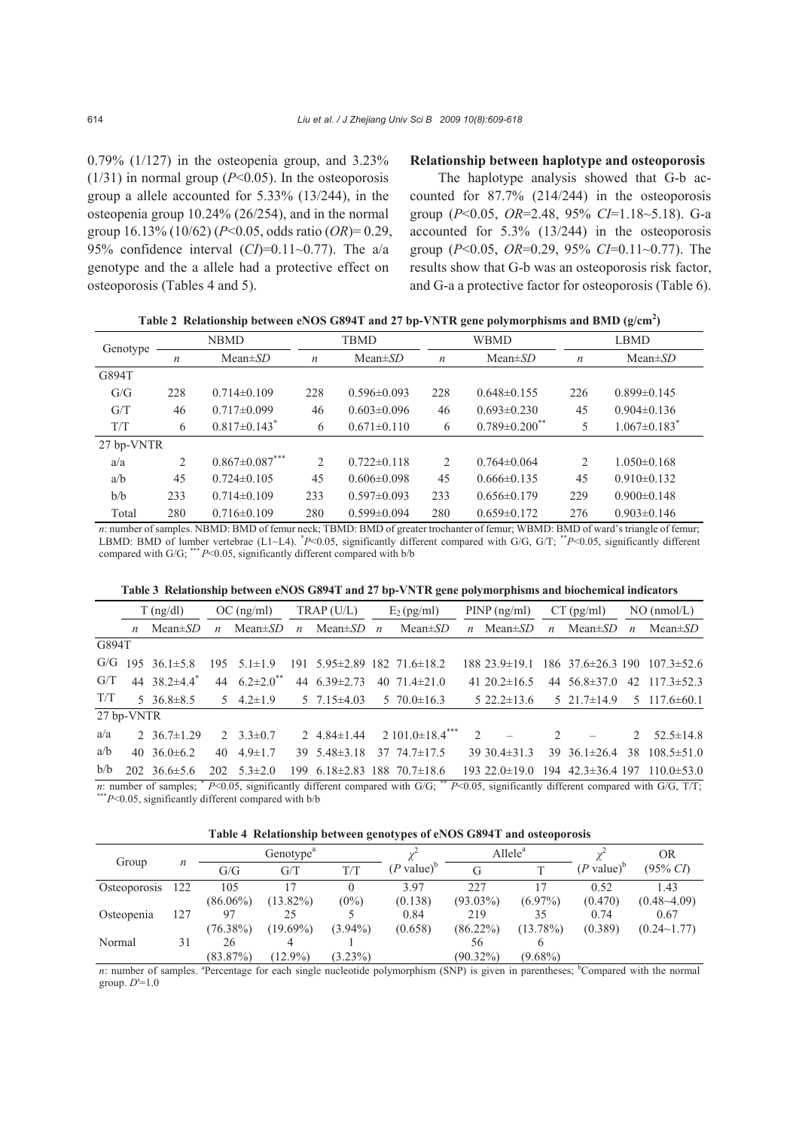0.79% (1/127) in the osteopenia group, and 3.23%  $(1/31)$  in normal group ( $P \le 0.05$ ). In the osteoporosis group a allele accounted for 5.33% (13/244), in the osteopenia group 10.24% (26/254), and in the normal group 16.13% (10/62) (*P*<0.05, odds ratio (*OR*)= 0.29, 95% confidence interval (*CI*)=0.11~0.77). The a/a genotype and the a allele had a protective effect on osteoporosis (Tables 4 and 5).

### **Relationship between haplotype and osteoporosis**

The haplotype analysis showed that G-b accounted for 87.7% (214/244) in the osteoporosis group (*P*<0.05, *OR*=2.48, 95% *CI*=1.18~5.18). G-a accounted for 5.3% (13/244) in the osteoporosis group (*P*<0.05, *OR*=0.29, 95% *CI*=0.11~0.77). The results show that G-b was an osteoporosis risk factor, and G-a a protective factor for osteoporosis (Table 6).

|  | Table 2 Relationship between eNOS G894T and 27 bp-VNTR gene polymorphisms and BMD (g/cm <sup>2</sup> ) |  |
|--|--------------------------------------------------------------------------------------------------------|--|
|  |                                                                                                        |  |

| Genotype   |                  | <b>NBMD</b>                                      |                  | <b>TBMD</b>       |                  | <b>WBMD</b>                     | <b>LBMD</b>      |                                |  |
|------------|------------------|--------------------------------------------------|------------------|-------------------|------------------|---------------------------------|------------------|--------------------------------|--|
|            | $\boldsymbol{n}$ | $Mean \pm SD$                                    | $\boldsymbol{n}$ | $Mean \pm SD$     | $\boldsymbol{n}$ | $Mean \pm SD$                   | $\boldsymbol{n}$ | $Mean \pm SD$                  |  |
| G894T      |                  |                                                  |                  |                   |                  |                                 |                  |                                |  |
| G/G        | 228              | $0.714\pm0.109$                                  | 228              | $0.596 \pm 0.093$ | 228              | $0.648\pm0.155$                 | 226              | $0.899 \pm 0.145$              |  |
| G/T        | 46               | $0.717 \pm 0.099$                                | 46               | $0.603 \pm 0.096$ | 46               | $0.693 \pm 0.230$               | 45               | $0.904 \pm 0.136$              |  |
| T/T        | 6                | $0.817 \pm 0.143$ <sup>*</sup>                   | 6                | $0.671 \pm 0.110$ | 6                | $0.789 \pm 0.200$ <sup>**</sup> | 5                | $1.067 \pm 0.183$ <sup>*</sup> |  |
| 27 bp-VNTR |                  |                                                  |                  |                   |                  |                                 |                  |                                |  |
| a/a        | 2                | $0.867 \pm 0.087$ ***                            | 2                | $0.722 \pm 0.118$ | $\overline{c}$   | $0.764\pm0.064$                 | $\overline{2}$   | $1.050\pm0.168$                |  |
| a/b        | 45               | $0.724\pm 0.105$                                 | 45               | $0.606 \pm 0.098$ | 45               | $0.666\pm0.135$                 | 45               | $0.910\pm0.132$                |  |
| b/b        | 233              | $0.714\pm 0.109$                                 | 233              | $0.597\pm0.093$   | 233              | $0.656 \pm 0.179$               | 229              | $0.900 \pm 0.148$              |  |
| Total      | 280              | $0.716 \pm 0.109$                                | 280              | $0.599 \pm 0.094$ | 280              | $0.659 \pm 0.172$               | 276              | $0.903 \pm 0.146$              |  |
|            |                  | $\sim$ $\sim$ $\sim$ $\sim$ $\sim$ $\sim$ $\sim$ |                  |                   |                  | $\sim$ $\sim$<br>$\mathbf{v}$   |                  | $\cdots$ $\cdots$              |  |

*n*: number of samples. NBMD: BMD of femur neck; TBMD: BMD of greater trochanter of femur; WBMD: BMD of ward's triangle of femur; LBMD: BMD of lumber vertebrae (L1~L4). \* *P*<0.05, significantly different compared with G/G, G/T; \*\**P*<0.05, significantly different compared with  $G/G$ ; \*\*\*  $P<0.05$ , significantly different compared with  $b/b$ 

|  |  |  |  |  |  |  |  | Table 3 Relationship between eNOS G894T and 27 bp-VNTR gene polymorphisms and biochemical indicators |  |
|--|--|--|--|--|--|--|--|------------------------------------------------------------------------------------------------------|--|
|--|--|--|--|--|--|--|--|------------------------------------------------------------------------------------------------------|--|

|            | $T$ (ng/dl)                                                                                                                                                                                                                                               |               | $OC$ (ng/ml)                                                    |               | TRAP (U/L)                        | $E_2$ (pg/ml)                                                                                                                                                                                                                                                                                            | $PINP$ (ng/ml)<br>$CT$ (pg/ml) |                    |                |                          | $NO$ (nmol/L) |                                                      |
|------------|-----------------------------------------------------------------------------------------------------------------------------------------------------------------------------------------------------------------------------------------------------------|---------------|-----------------------------------------------------------------|---------------|-----------------------------------|----------------------------------------------------------------------------------------------------------------------------------------------------------------------------------------------------------------------------------------------------------------------------------------------------------|--------------------------------|--------------------|----------------|--------------------------|---------------|------------------------------------------------------|
|            | <i>n</i> Mean $\pm SD$                                                                                                                                                                                                                                    | $\mathfrak n$ | Mean±SD                                                         | $\mathfrak n$ | Mean $\pm SD$ <i>n</i>            | $Mean \pm SD$                                                                                                                                                                                                                                                                                            |                                | $n$ Mean $\pm SD$  | $\mathfrak{n}$ |                          |               | Mean $\pm SD$ <i>n</i> Mean $\pm SD$                 |
| G894T      |                                                                                                                                                                                                                                                           |               |                                                                 |               |                                   |                                                                                                                                                                                                                                                                                                          |                                |                    |                |                          |               |                                                      |
|            | $G/G$ 195 36.1 $\pm$ 5.8                                                                                                                                                                                                                                  |               | 195 $5.1 \pm 1.9$                                               |               |                                   | $191$ 5.95 $\pm$ 2.89 182 71.6 $\pm$ 18.2                                                                                                                                                                                                                                                                |                                |                    |                |                          |               | $18823.9\pm19.1$ $18637.6\pm26.3$ 190 $107.3\pm52.6$ |
| G/T        | 44 38.2 $\pm$ 4.4 <sup>*</sup>                                                                                                                                                                                                                            |               | 44 $6.2 \pm 2.0$ <sup>**</sup>                                  |               | 44 $6.39\pm2.73$ 40 $71.4\pm21.0$ |                                                                                                                                                                                                                                                                                                          |                                | 41 20.2 $\pm$ 16.5 |                |                          |               | 44 $56.8 \pm 37.0$ 42 $117.3 \pm 52.3$               |
| T/T        | $5\quad 36.8 \pm 8.5$                                                                                                                                                                                                                                     |               | $5\quad 4.2\pm 1.9$ $5\quad 7.15\pm 4.03$ $5\quad 70.0\pm 16.3$ |               |                                   |                                                                                                                                                                                                                                                                                                          |                                |                    |                |                          |               | $5\,22.2\pm13.6$ $5\,21.7\pm14.9$ $5\,117.6\pm60.1$  |
| 27 bp-VNTR |                                                                                                                                                                                                                                                           |               |                                                                 |               |                                   |                                                                                                                                                                                                                                                                                                          |                                |                    |                |                          |               |                                                      |
| a/a        | 2 36.7 $\pm$ 1.29                                                                                                                                                                                                                                         |               | 2 $3.3 \pm 0.7$                                                 |               |                                   | 2 4.84±1.44 2 101.0±18.4 <sup>***</sup> 2 -                                                                                                                                                                                                                                                              |                                |                    | 2 <sup>0</sup> | $\overline{\phantom{0}}$ |               | 2 $52.5 \pm 14.8$                                    |
| a/b        | 40 36.0 $\pm$ 6.2                                                                                                                                                                                                                                         | 40            | $4.9 \pm 1.7$                                                   |               | $39 \quad 5.48 \pm 3.18$          | 37 74.7±17.5                                                                                                                                                                                                                                                                                             |                                | $3930.4 \pm 31.3$  |                |                          |               | 39 36.1±26.4 38 108.5±51.0                           |
| b/b        | $202 \quad 36.6 \pm 5.6$<br>range and the state of the state of the state of the state of the state of the state of the state of the state of the state of the state of the state of the state of the state of the state of the state of the state of the |               | $202 \quad 5.3 \pm 2.0$                                         |               |                                   | 199 6.18±2.83 188 70.7±18.6 193 22.0±19.0 194 42.3±36.4 197 110.0±53.0<br>the contract of the second state of the contract of the contract of the contract of the contract of the contract of the contract of the contract of the contract of the contract of the contract of the contract of the contra |                                |                    |                |                          |               |                                                      |

*n*: number of samples;  $* P \le 0.05$ , significantly different compared with G/G;  $** P \le 0.05$ , significantly different compared with b/b<br> $**P \le 0.05$ , significantly different compared with b/b

**Table 4 Relationship between genotypes of eNOS G894T and osteoporosis** 

| Group        |     | Genotype <sup>a</sup> |             |            |                          | Allele <sup>a</sup> |             |                          | <b>OR</b>          |
|--------------|-----|-----------------------|-------------|------------|--------------------------|---------------------|-------------|--------------------------|--------------------|
|              | n   | G/G                   | G/T         | T/T        | $(P$ value) <sup>b</sup> |                     |             | $(P$ value) <sup>b</sup> | $(95\% \, C)$      |
| Osteoporosis | 122 | 105                   | 7           |            | 3.97                     | 227                 |             | 0.52                     | 1.43               |
|              |     | $(86.06\%)$           | $(13.82\%)$ | $(0\%)$    | (0.138)                  | $(93.03\%)$         | $(6.97\%)$  | (0.470)                  | $(0.48 - 4.09)$    |
| Osteopenia   | 127 | 97                    | 25          |            | 0.84                     | 219                 | 35          | 0.74                     | 0.67               |
|              |     | $(76.38\%)$           | $(19.69\%)$ | $(3.94\%)$ | (0.658)                  | $(86.22\%)$         | $(13.78\%)$ | (0.389)                  | $(0.24 \sim 1.77)$ |
| Normal       | 31  | 26                    |             |            |                          | 56                  |             |                          |                    |
|              |     | $(83.87\%)$           | $(12.9\%)$  | $(3.23\%)$ |                          | $(90.32\%)$         | $(9.68\%)$  |                          |                    |

*n*: number of samples. <sup>a</sup>Percentage for each single nucleotide polymorphism (SNP) is given in parentheses; <sup>b</sup>Compared with the normal group. *D*′=1.0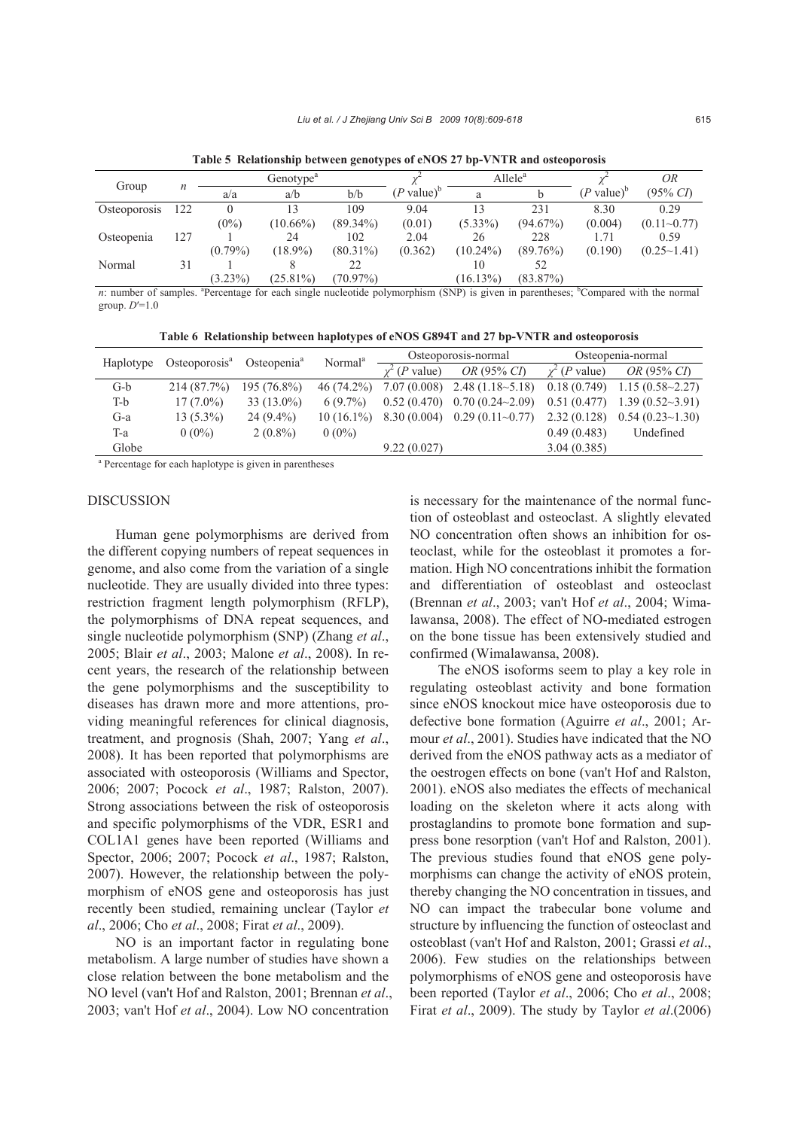| Group        |     | Genotype <sup>a</sup> |             |             |                          | $\text{Allele}^a$ |             |                          | <i>OR</i>          |
|--------------|-----|-----------------------|-------------|-------------|--------------------------|-------------------|-------------|--------------------------|--------------------|
|              |     | a/a                   | a/b         | b/b         | $(P$ value) <sup>b</sup> |                   |             | $(P$ value) <sup>b</sup> | $(95\% \, C)$      |
| Osteoporosis | 122 |                       | 13          | 109         | 9.04                     |                   | 231         | 8.30                     | 0.29               |
|              |     | $(0\%)$               | $(10.66\%)$ | $(89.34\%)$ | (0.01)                   | $(5.33\%)$        | $(94.67\%)$ | (0.004)                  | $(0.11 - 0.77)$    |
| Osteopenia   | 127 |                       | 24          | 102         | 2.04                     | 26                | 228         | 1.71                     | 0.59               |
|              |     | $(0.79\%)$            | $(18.9\%)$  | $(80.31\%)$ | (0.362)                  | $(10.24\%)$       | $(89.76\%)$ | (0.190)                  | $(0.25 \sim 1.41)$ |
| Normal       | 31  |                       |             | 22          |                          | 10                | 52          |                          |                    |
|              |     | $(3.23\%)$            | $(25.81\%)$ | $(70.97\%)$ |                          | $(16.13\%)$       | $(83.87\%)$ |                          |                    |

**Table 5 Relationship between genotypes of eNOS 27 bp-VNTR and osteoporosis**

*n*: number of samples. <sup>a</sup>Percentage for each single nucleotide polymorphism (SNP) is given in parentheses; <sup>b</sup>Compared with the normal group. *D*′=1.0

**Table 6 Relationship between haplotypes of eNOS G894T and 27 bp-VNTR and osteoporosis** 

| Haplotype | Osteoporosis <sup>a</sup>                                          | Osteopenia <sup>a</sup> | Normal <sup>a</sup> |              | Osteoporosis-normal    | Osteopenia-normal            |                          |  |  |  |  |  |  |
|-----------|--------------------------------------------------------------------|-------------------------|---------------------|--------------|------------------------|------------------------------|--------------------------|--|--|--|--|--|--|
|           |                                                                    |                         |                     | $(P$ value)  | OR (95% CI)            | $\gamma^2$ ( <i>P</i> value) | OR (95% CD)              |  |  |  |  |  |  |
| $G-b$     | 214 (87.7%)                                                        | $195(76.8\%)$           | $46(74.2\%)$        | 7.07 (0.008) | $2.48(1.18-5.18)$      | 0.18(0.749)                  | $1.15(0.58 \sim 2.27)$   |  |  |  |  |  |  |
| T-b       | $17(7.0\%)$                                                        | $33(13.0\%)$            | $6(9.7\%)$          | 0.52(0.470)  | $0.70(0.24 \sim 2.09)$ | 0.51(0.477)                  | $1.39(0.52\text{~}3.91)$ |  |  |  |  |  |  |
| $G-a$     | $13(5.3\%)$                                                        | $24(9.4\%)$             | $10(16.1\%)$        | 8.30(0.004)  | $0.29(0.11-0.77)$      | 2.32(0.128)                  | $0.54(0.23\text{~}1.30)$ |  |  |  |  |  |  |
| $T-a$     | $0(0\%)$                                                           | $2(0.8\%)$              | $0(0\%)$            |              |                        | 0.49(0.483)                  | Undefined                |  |  |  |  |  |  |
| Globe     |                                                                    |                         |                     | 9.22(0.027)  |                        | 3.04(0.385)                  |                          |  |  |  |  |  |  |
|           | <sup>a</sup> Percentage for each haplotype is given in parentheses |                         |                     |              |                        |                              |                          |  |  |  |  |  |  |

#### DISCUSSION

Human gene polymorphisms are derived from the different copying numbers of repeat sequences in genome, and also come from the variation of a single nucleotide. They are usually divided into three types: restriction fragment length polymorphism (RFLP), the polymorphisms of DNA repeat sequences, and single nucleotide polymorphism (SNP) (Zhang *et al*., 2005; Blair *et al*., 2003; Malone *et al*., 2008). In recent years, the research of the relationship between the gene polymorphisms and the susceptibility to diseases has drawn more and more attentions, providing meaningful references for clinical diagnosis, treatment, and prognosis (Shah, 2007; Yang *et al*., 2008). It has been reported that polymorphisms are associated with osteoporosis (Williams and Spector, 2006; 2007; Pocock *et al*., 1987; Ralston, 2007). Strong associations between the risk of osteoporosis and specific polymorphisms of the VDR, ESR1 and COL1A1 genes have been reported (Williams and Spector, 2006; 2007; Pocock *et al*., 1987; Ralston, 2007). However, the relationship between the polymorphism of eNOS gene and osteoporosis has just recently been studied, remaining unclear (Taylor *et al*., 2006; Cho *et al*., 2008; Firat *et al*., 2009).

NO is an important factor in regulating bone metabolism. A large number of studies have shown a close relation between the bone metabolism and the NO level (van't Hof and Ralston, 2001; Brennan *et al*., 2003; van't Hof *et al*., 2004). Low NO concentration is necessary for the maintenance of the normal function of osteoblast and osteoclast. A slightly elevated NO concentration often shows an inhibition for osteoclast, while for the osteoblast it promotes a formation. High NO concentrations inhibit the formation and differentiation of osteoblast and osteoclast (Brennan *et al*., 2003; van't Hof *et al*., 2004; Wimalawansa, 2008). The effect of NO-mediated estrogen on the bone tissue has been extensively studied and confirmed (Wimalawansa, 2008).

The eNOS isoforms seem to play a key role in regulating osteoblast activity and bone formation since eNOS knockout mice have osteoporosis due to defective bone formation (Aguirre *et al*., 2001; Armour *et al*., 2001). Studies have indicated that the NO derived from the eNOS pathway acts as a mediator of the oestrogen effects on bone (van't Hof and Ralston, 2001). eNOS also mediates the effects of mechanical loading on the skeleton where it acts along with prostaglandins to promote bone formation and suppress bone resorption (van't Hof and Ralston, 2001). The previous studies found that eNOS gene polymorphisms can change the activity of eNOS protein, thereby changing the NO concentration in tissues, and NO can impact the trabecular bone volume and structure by influencing the function of osteoclast and osteoblast (van't Hof and Ralston, 2001; Grassi *et al*., 2006). Few studies on the relationships between polymorphisms of eNOS gene and osteoporosis have been reported (Taylor *et al*., 2006; Cho *et al*., 2008; Firat *et al*., 2009). The study by Taylor *et al*.(2006)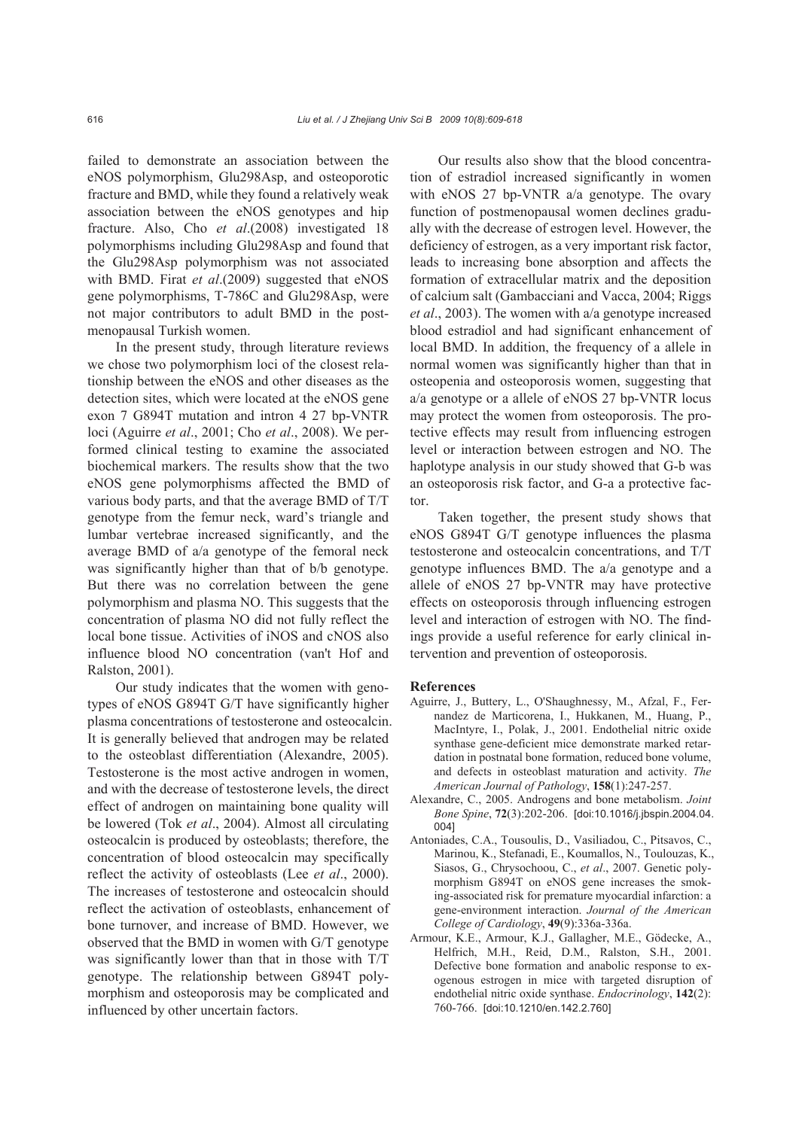failed to demonstrate an association between the eNOS polymorphism, Glu298Asp, and osteoporotic fracture and BMD, while they found a relatively weak association between the eNOS genotypes and hip fracture. Also, Cho *et al*.(2008) investigated 18 polymorphisms including Glu298Asp and found that the Glu298Asp polymorphism was not associated with BMD. Firat *et al*.(2009) suggested that eNOS gene polymorphisms, T-786C and Glu298Asp, were not major contributors to adult BMD in the postmenopausal Turkish women.

In the present study, through literature reviews we chose two polymorphism loci of the closest relationship between the eNOS and other diseases as the detection sites, which were located at the eNOS gene exon 7 G894T mutation and intron 4 27 bp-VNTR loci (Aguirre *et al*., 2001; Cho *et al*., 2008). We performed clinical testing to examine the associated biochemical markers. The results show that the two eNOS gene polymorphisms affected the BMD of various body parts, and that the average BMD of T/T genotype from the femur neck, ward's triangle and lumbar vertebrae increased significantly, and the average BMD of a/a genotype of the femoral neck was significantly higher than that of b/b genotype. But there was no correlation between the gene polymorphism and plasma NO. This suggests that the concentration of plasma NO did not fully reflect the local bone tissue. Activities of iNOS and cNOS also influence blood NO concentration (van't Hof and Ralston, 2001).

Our study indicates that the women with genotypes of eNOS G894T G/T have significantly higher plasma concentrations of testosterone and osteocalcin. It is generally believed that androgen may be related to the osteoblast differentiation (Alexandre, 2005). Testosterone is the most active androgen in women, and with the decrease of testosterone levels, the direct effect of androgen on maintaining bone quality will be lowered (Tok *et al*., 2004). Almost all circulating osteocalcin is produced by osteoblasts; therefore, the concentration of blood osteocalcin may specifically reflect the activity of osteoblasts (Lee *et al*., 2000). The increases of testosterone and osteocalcin should reflect the activation of osteoblasts, enhancement of bone turnover, and increase of BMD. However, we observed that the BMD in women with G/T genotype was significantly lower than that in those with T/T genotype. The relationship between G894T polymorphism and osteoporosis may be complicated and influenced by other uncertain factors.

Our results also show that the blood concentration of estradiol increased significantly in women with eNOS 27 bp-VNTR a/a genotype. The ovary function of postmenopausal women declines gradually with the decrease of estrogen level. However, the deficiency of estrogen, as a very important risk factor, leads to increasing bone absorption and affects the formation of extracellular matrix and the deposition of calcium salt (Gambacciani and Vacca, 2004; Riggs *et al*., 2003). The women with a/a genotype increased blood estradiol and had significant enhancement of local BMD. In addition, the frequency of a allele in normal women was significantly higher than that in osteopenia and osteoporosis women, suggesting that a/a genotype or a allele of eNOS 27 bp-VNTR locus may protect the women from osteoporosis. The protective effects may result from influencing estrogen level or interaction between estrogen and NO. The haplotype analysis in our study showed that G-b was an osteoporosis risk factor, and G-a a protective factor.

Taken together, the present study shows that eNOS G894T G/T genotype influences the plasma testosterone and osteocalcin concentrations, and T/T genotype influences BMD. The a/a genotype and a allele of eNOS 27 bp-VNTR may have protective effects on osteoporosis through influencing estrogen level and interaction of estrogen with NO. The findings provide a useful reference for early clinical intervention and prevention of osteoporosis.

#### **References**

- Aguirre, J., Buttery, L., O'Shaughnessy, M., Afzal, F., Fernandez de Marticorena, I., Hukkanen, M., Huang, P., MacIntyre, I., Polak, J., 2001. Endothelial nitric oxide synthase gene-deficient mice demonstrate marked retardation in postnatal bone formation, reduced bone volume, and defects in osteoblast maturation and activity. *The American Journal of Pathology*, **158**(1):247-257.
- Alexandre, C., 2005. Androgens and bone metabolism. *Joint Bone Spine*, **72**(3):202-206. [doi:10.1016/j.jbspin.2004.04. 004]
- Antoniades, C.A., Tousoulis, D., Vasiliadou, C., Pitsavos, C., Marinou, K., Stefanadi, E., Koumallos, N., Toulouzas, K., Siasos, G., Chrysochoou, C., *et al*., 2007. Genetic polymorphism G894T on eNOS gene increases the smoking-associated risk for premature myocardial infarction: a gene-environment interaction. *Journal of the American College of Cardiology*, **49**(9):336a-336a.
- Armour, K.E., Armour, K.J., Gallagher, M.E., Gödecke, A., Helfrich, M.H., Reid, D.M., Ralston, S.H., 2001. Defective bone formation and anabolic response to exogenous estrogen in mice with targeted disruption of endothelial nitric oxide synthase. *Endocrinology*, **142**(2): 760-766. [doi:10.1210/en.142.2.760]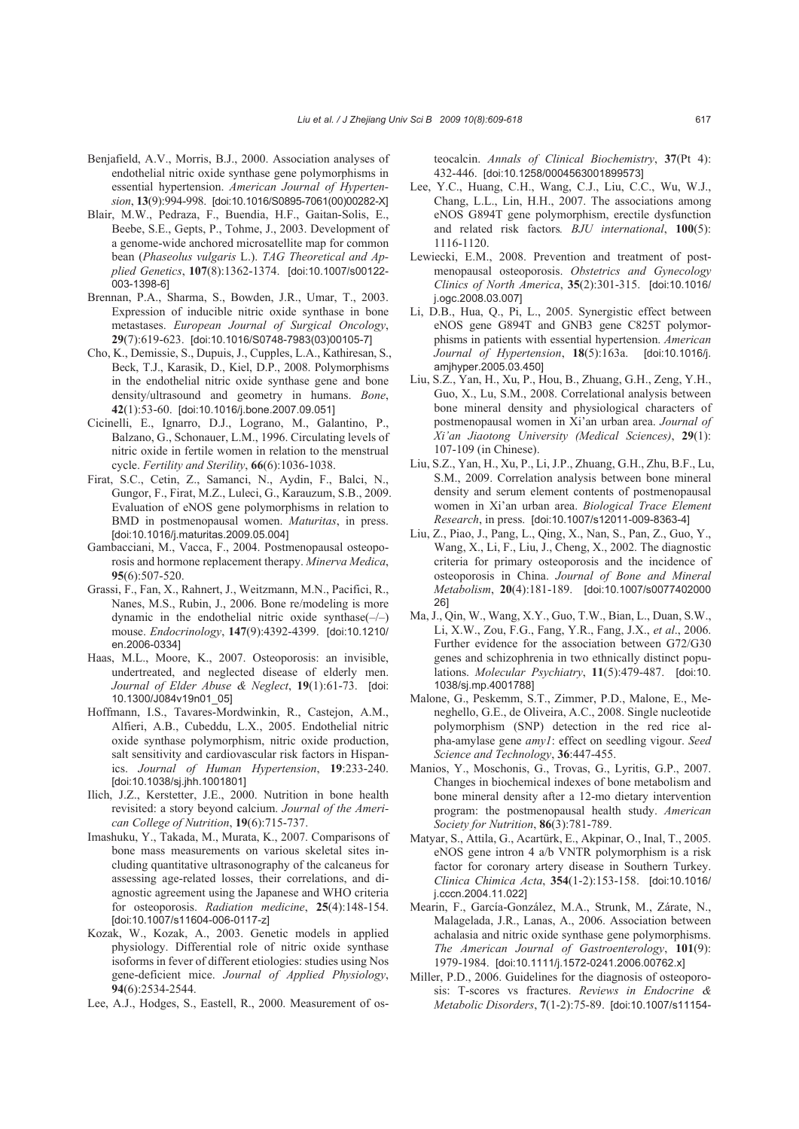- Benjafield, A.V., Morris, B.J., 2000. Association analyses of endothelial nitric oxide synthase gene polymorphisms in essential hypertension. *American Journal of Hypertension*, **13**(9):994-998. [doi:10.1016/S0895-7061(00)00282-X]
- Blair, M.W., Pedraza, F., Buendia, H.F., Gaitan-Solis, E., Beebe, S.E., Gepts, P., Tohme, J., 2003. Development of a genome-wide anchored microsatellite map for common bean (*Phaseolus vulgaris* L.). *TAG Theoretical and Applied Genetics*, **107**(8):1362-1374. [doi:10.1007/s00122- 003-1398-6]
- Brennan, P.A., Sharma, S., Bowden, J.R., Umar, T., 2003. Expression of inducible nitric oxide synthase in bone metastases. *European Journal of Surgical Oncology*, **29**(7):619-623. [doi:10.1016/S0748-7983(03)00105-7]
- Cho, K., Demissie, S., Dupuis, J., Cupples, L.A., Kathiresan, S., Beck, T.J., Karasik, D., Kiel, D.P., 2008. Polymorphisms in the endothelial nitric oxide synthase gene and bone density/ultrasound and geometry in humans. *Bone*, **42**(1):53-60. [doi:10.1016/j.bone.2007.09.051]
- Cicinelli, E., Ignarro, D.J., Lograno, M., Galantino, P., Balzano, G., Schonauer, L.M., 1996. Circulating levels of nitric oxide in fertile women in relation to the menstrual cycle. *Fertility and Sterility*, **66**(6):1036-1038.
- Firat, S.C., Cetin, Z., Samanci, N., Aydin, F., Balci, N., Gungor, F., Firat, M.Z., Luleci, G., Karauzum, S.B., 2009. Evaluation of eNOS gene polymorphisms in relation to BMD in postmenopausal women. *Maturitas*, in press. [doi:10.1016/j.maturitas.2009.05.004]
- Gambacciani, M., Vacca, F., 2004. Postmenopausal osteoporosis and hormone replacement therapy. *Minerva Medica*, **95**(6):507-520.
- Grassi, F., Fan, X., Rahnert, J., Weitzmann, M.N., Pacifici, R., Nanes, M.S., Rubin, J., 2006. Bone re/modeling is more dynamic in the endothelial nitric oxide synthase $(-/-)$ mouse. *Endocrinology*, **147**(9):4392-4399. [doi:10.1210/ en.2006-0334]
- Haas, M.L., Moore, K., 2007. Osteoporosis: an invisible, undertreated, and neglected disease of elderly men. *Journal of Elder Abuse & Neglect*, **19**(1):61-73. [doi: 10.1300/J084v19n01\_05]
- Hoffmann, I.S., Tavares-Mordwinkin, R., Castejon, A.M., Alfieri, A.B., Cubeddu, L.X., 2005. Endothelial nitric oxide synthase polymorphism, nitric oxide production, salt sensitivity and cardiovascular risk factors in Hispanics. *Journal of Human Hypertension*, **19**:233-240. [doi:10.1038/sj.jhh.1001801]
- Ilich, J.Z., Kerstetter, J.E., 2000. Nutrition in bone health revisited: a story beyond calcium. *Journal of the American College of Nutrition*, **19**(6):715-737.
- Imashuku, Y., Takada, M., Murata, K., 2007. Comparisons of bone mass measurements on various skeletal sites including quantitative ultrasonography of the calcaneus for assessing age-related losses, their correlations, and diagnostic agreement using the Japanese and WHO criteria for osteoporosis. *Radiation medicine*, **25**(4):148-154. [doi:10.1007/s11604-006-0117-z]
- Kozak, W., Kozak, A., 2003. Genetic models in applied physiology. Differential role of nitric oxide synthase isoforms in fever of different etiologies: studies using Nos gene-deficient mice. *Journal of Applied Physiology*, **94**(6):2534-2544.
- Lee, A.J., Hodges, S., Eastell, R., 2000. Measurement of os-

teocalcin. *Annals of Clinical Biochemistry*, **37**(Pt 4): 432-446. [doi:10.1258/0004563001899573]

- Lee, Y.C., Huang, C.H., Wang, C.J., Liu, C.C., Wu, W.J., Chang, L.L., Lin, H.H., 2007. The associations among eNOS G894T gene polymorphism, erectile dysfunction and related risk factors*. BJU international*, **100**(5): 1116-1120.
- Lewiecki, E.M., 2008. Prevention and treatment of postmenopausal osteoporosis. *Obstetrics and Gynecology Clinics of North America*, **35**(2):301-315. [doi:10.1016/ j.ogc.2008.03.007]
- Li, D.B., Hua, Q., Pi, L., 2005. Synergistic effect between eNOS gene G894T and GNB3 gene C825T polymorphisms in patients with essential hypertension. *American Journal of Hypertension*, **18**(5):163a. [doi:10.1016/j. amjhyper.2005.03.450]
- Liu, S.Z., Yan, H., Xu, P., Hou, B., Zhuang, G.H., Zeng, Y.H., Guo, X., Lu, S.M., 2008. Correlational analysis between bone mineral density and physiological characters of postmenopausal women in Xi'an urban area. *Journal of Xi'an Jiaotong University (Medical Sciences)*, **29**(1): 107-109 (in Chinese).
- Liu, S.Z., Yan, H., Xu, P., Li, J.P., Zhuang, G.H., Zhu, B.F., Lu, S.M., 2009. Correlation analysis between bone mineral density and serum element contents of postmenopausal women in Xi'an urban area. *Biological Trace Element Research*, in press. [doi:10.1007/s12011-009-8363-4]
- Liu, Z., Piao, J., Pang, L., Qing, X., Nan, S., Pan, Z., Guo, Y., Wang, X., Li, F., Liu, J., Cheng, X., 2002. The diagnostic criteria for primary osteoporosis and the incidence of osteoporosis in China. *Journal of Bone and Mineral Metabolism*, **20**(4):181-189. [doi:10.1007/s0077402000 26]
- Ma, J., Qin, W., Wang, X.Y., Guo, T.W., Bian, L., Duan, S.W., Li, X.W., Zou, F.G., Fang, Y.R., Fang, J.X., *et al*., 2006. Further evidence for the association between G72/G30 genes and schizophrenia in two ethnically distinct populations. *Molecular Psychiatry*, **11**(5):479-487. [doi:10. 1038/sj.mp.4001788]
- Malone, G., Peskemm, S.T., Zimmer, P.D., Malone, E., Meneghello, G.E., de Oliveira, A.C., 2008. Single nucleotide polymorphism (SNP) detection in the red rice alpha-amylase gene *amy1*: effect on seedling vigour. *Seed Science and Technology*, **36**:447-455.
- Manios, Y., Moschonis, G., Trovas, G., Lyritis, G.P., 2007. Changes in biochemical indexes of bone metabolism and bone mineral density after a 12-mo dietary intervention program: the postmenopausal health study. *American Society for Nutrition*, **86**(3):781-789.
- Matyar, S., Attila, G., Acartürk, E., Akpinar, O., Inal, T., 2005. eNOS gene intron 4 a/b VNTR polymorphism is a risk factor for coronary artery disease in Southern Turkey. *Clinica Chimica Acta*, **354**(1-2):153-158. [doi:10.1016/ j.cccn.2004.11.022]
- Mearin, F., García-González, M.A., Strunk, M., Zárate, N., Malagelada, J.R., Lanas, A., 2006. Association between achalasia and nitric oxide synthase gene polymorphisms. *The American Journal of Gastroenterology*, **101**(9): 1979-1984. [doi:10.1111/j.1572-0241.2006.00762.x]
- Miller, P.D., 2006. Guidelines for the diagnosis of osteoporosis: T-scores vs fractures. *Reviews in Endocrine & Metabolic Disorders*, **7**(1-2):75-89. [doi:10.1007/s11154-